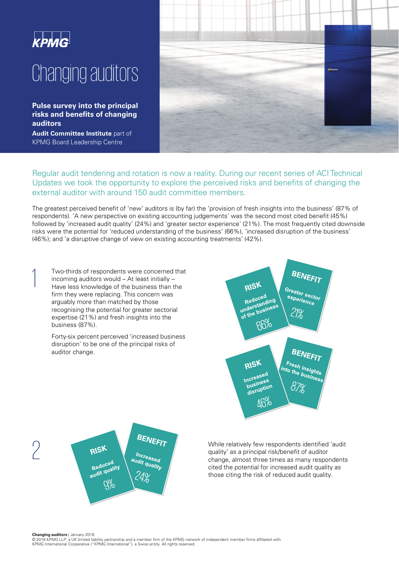

**Pulse survey into the principal risks and benefits of changing auditors** 

**Audit Committee Institute** part of KPMG Board Leadership Centre



Regular audit tendering and rotation is now a reality. During our recent series of ACI Technical Updates we took the opportunity to explore the perceived risks and benefits of changing the external auditor with around 150 audit committee members.

The greatest perceived benefit of 'new' auditors is (by far) the 'provision of fresh insights into the business' (87% of respondents). 'A new perspective on existing accounting judgements' was the second most cited benefit (45%) followed by 'increased audit quality' (24%) and 'greater sector experience' (21%). The most frequently cited downside risks were the potential for 'reduced understanding of the business' (66%), 'increased disruption of the business' (46%); and 'a disruptive change of view on existing accounting treatments' (42%).

Two-thirds of respondents were concerned that<br>incoming auditors would – At least initially –<br>Have less knowledge of the business than the incoming auditors would – At least initially – Have less knowledge of the business than the firm they were replacing. This concern was arguably more than matched by those recognising the potential for greater sectorial expertise (21%) and fresh insights into the business (87%).

> Forty-six percent perceived 'increased business disruption' to be one of the principal risks of auditor change.





**PISK**<br> *Increased Reduced Reducility*<br> *PAISK*<br> *PAISK audit quality' as a principal risk/benefit of auditor change, almost three times as many respondents and reduced and the value of the section the sixth of the section* quality' as a principal risk/benefit of auditor change, almost three times as many respondents cited the potential for increased audit quality as those citing the risk of reduced audit quality.

**Changing auditors** | January 2018

 © 2018 KPMG LLP, a UK limited liability partnership and a member firm of the KPMG network of independent member firms affiliated with KPMG International Cooperative ("KPMG International"), a Swiss entity. All rights reserved.